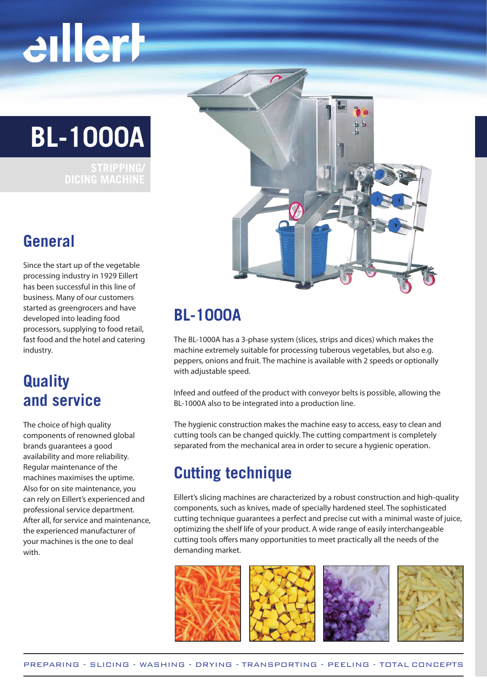# eillerh

### **BL-1000A**

**DICING MACHINE**



#### Since the start up of the vegetable

**General**

processing industry in 1929 Eillert has been successful in this line of business. Many of our customers started as greengrocers and have developed into leading food processors, supplying to food retail, fast food and the hotel and catering industry.

#### **Quality and service**

The choice of high quality components of renowned global brands guarantees a good availability and more reliability. Regular maintenance of the machines maximises the uptime. Also for on site maintenance, you can rely on Eillert's experienced and professional service department. After all, for service and maintenance, the experienced manufacturer of your machines is the one to deal with.

### **BL-1000A**

The BL-1000A has a 3-phase system (slices, strips and dices) which makes the machine extremely suitable for processing tuberous vegetables, but also e.g. peppers, onions and fruit. The machine is available with 2 speeds or optionally with adjustable speed.

Infeed and outfeed of the product with conveyor belts is possible, allowing the BL-1000A also to be integrated into a production line.

The hygienic construction makes the machine easy to access, easy to clean and cutting tools can be changed quickly. The cutting compartment is completely separated from the mechanical area in order to secure a hygienic operation.

#### **Cutting technique**

Eillert's slicing machines are characterized by a robust construction and high-quality components, such as knives, made of specially hardened steel. The sophisticated cutting technique guarantees a perfect and precise cut with a minimal waste of juice, optimizing the shelf life of your product. A wide range of easily interchangeable cutting tools offers many opportunities to meet practically all the needs of the demanding market.